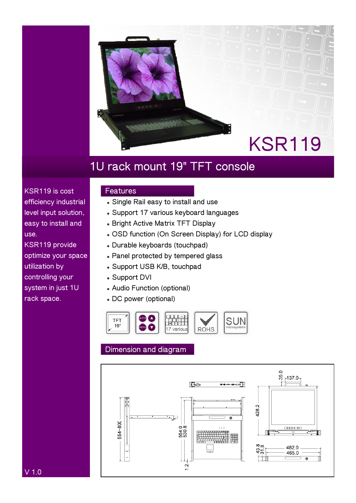

# **1U rack mount 19" TFT console**

**KSR119 is cost efficiency industrial level input solution, easy to install and use.** 

**KSR119 provide optimize your space utilization by controlling your system in just 1U rack space.** 

### **Features**

- $\bullet$  Single Rail easy to install and use
- **Support 17 various keyboard languages**
- **Bright Active Matrix TFT Display**
- **OSD function (On Screen Display) for LCD display**
- <sup>z</sup> **Durable keyboards (touchpad)**
- **Panel protected by tempered glass**
- <sup>z</sup> **Support USB K/B, touchpad**
- **Support DVI**
- <sup>z</sup> **Audio Function (optional)**
- **DC power (optional)**



## **Dimension and diagram**



**V 1.0**